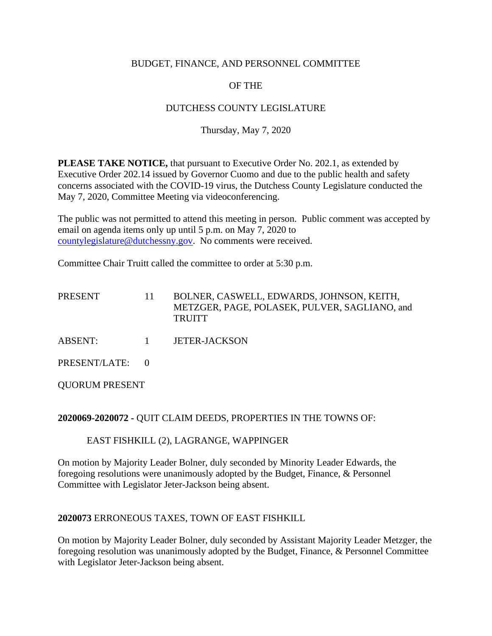### BUDGET, FINANCE, AND PERSONNEL COMMITTEE

# OF THE

# DUTCHESS COUNTY LEGISLATURE

## Thursday, May 7, 2020

**PLEASE TAKE NOTICE,** that pursuant to Executive Order No. 202.1, as extended by Executive Order 202.14 issued by Governor Cuomo and due to the public health and safety concerns associated with the COVID-19 virus, the Dutchess County Legislature conducted the May 7, 2020, Committee Meeting via videoconferencing.

The public was not permitted to attend this meeting in person. Public comment was accepted by email on agenda items only up until 5 p.m. on May 7, 2020 to [countylegislature@dutchessny.gov.](mailto:countylegislature@dutchessny.gov) No comments were received.

Committee Chair Truitt called the committee to order at 5:30 p.m.

| <b>PRESENT</b>  | 11           | BOLNER, CASWELL, EDWARDS, JOHNSON, KEITH,<br>METZGER, PAGE, POLASEK, PULVER, SAGLIANO, and<br><b>TRUITT</b> |
|-----------------|--------------|-------------------------------------------------------------------------------------------------------------|
| <b>ABSENT:</b>  | $\mathbf{1}$ | <b>JETER-JACKSON</b>                                                                                        |
| PRESENT/LATE: 0 |              |                                                                                                             |

QUORUM PRESENT

#### **2020069-2020072 -** QUIT CLAIM DEEDS, PROPERTIES IN THE TOWNS OF:

#### EAST FISHKILL (2), LAGRANGE, WAPPINGER

On motion by Majority Leader Bolner, duly seconded by Minority Leader Edwards, the foregoing resolutions were unanimously adopted by the Budget, Finance, & Personnel Committee with Legislator Jeter-Jackson being absent.

#### **2020073** ERRONEOUS TAXES, TOWN OF EAST FISHKILL

On motion by Majority Leader Bolner, duly seconded by Assistant Majority Leader Metzger, the foregoing resolution was unanimously adopted by the Budget, Finance, & Personnel Committee with Legislator Jeter-Jackson being absent.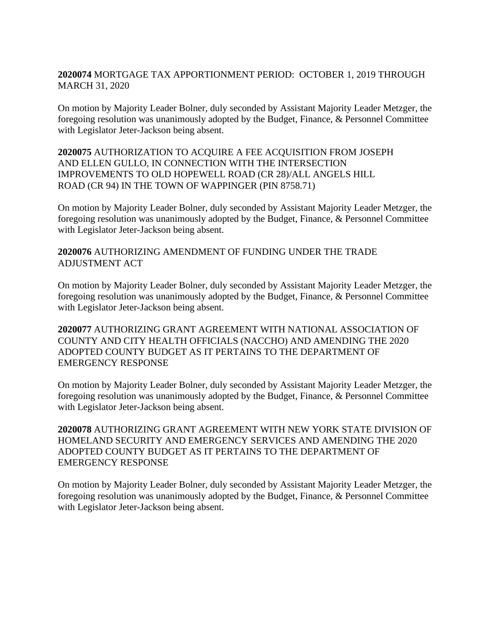## **2020074** MORTGAGE TAX APPORTIONMENT PERIOD: OCTOBER 1, 2019 THROUGH MARCH 31, 2020

On motion by Majority Leader Bolner, duly seconded by Assistant Majority Leader Metzger, the foregoing resolution was unanimously adopted by the Budget, Finance, & Personnel Committee with Legislator Jeter-Jackson being absent.

### **2020075** AUTHORIZATION TO ACQUIRE A FEE ACQUISITION FROM JOSEPH AND ELLEN GULLO, IN CONNECTION WITH THE INTERSECTION IMPROVEMENTS TO OLD HOPEWELL ROAD (CR 28)/ALL ANGELS HILL ROAD (CR 94) IN THE TOWN OF WAPPINGER (PIN 8758.71)

On motion by Majority Leader Bolner, duly seconded by Assistant Majority Leader Metzger, the foregoing resolution was unanimously adopted by the Budget, Finance, & Personnel Committee with Legislator Jeter-Jackson being absent.

## **2020076** AUTHORIZING AMENDMENT OF FUNDING UNDER THE TRADE ADJUSTMENT ACT

On motion by Majority Leader Bolner, duly seconded by Assistant Majority Leader Metzger, the foregoing resolution was unanimously adopted by the Budget, Finance, & Personnel Committee with Legislator Jeter-Jackson being absent.

**2020077** AUTHORIZING GRANT AGREEMENT WITH NATIONAL ASSOCIATION OF COUNTY AND CITY HEALTH OFFICIALS (NACCHO) AND AMENDING THE 2020 ADOPTED COUNTY BUDGET AS IT PERTAINS TO THE DEPARTMENT OF EMERGENCY RESPONSE

On motion by Majority Leader Bolner, duly seconded by Assistant Majority Leader Metzger, the foregoing resolution was unanimously adopted by the Budget, Finance, & Personnel Committee with Legislator Jeter-Jackson being absent.

**2020078** AUTHORIZING GRANT AGREEMENT WITH NEW YORK STATE DIVISION OF HOMELAND SECURITY AND EMERGENCY SERVICES AND AMENDING THE 2020 ADOPTED COUNTY BUDGET AS IT PERTAINS TO THE DEPARTMENT OF EMERGENCY RESPONSE

On motion by Majority Leader Bolner, duly seconded by Assistant Majority Leader Metzger, the foregoing resolution was unanimously adopted by the Budget, Finance, & Personnel Committee with Legislator Jeter-Jackson being absent.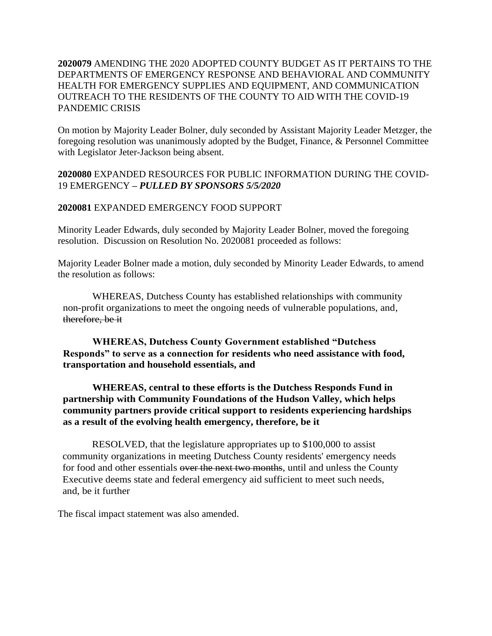## **2020079** AMENDING THE 2020 ADOPTED COUNTY BUDGET AS IT PERTAINS TO THE DEPARTMENTS OF EMERGENCY RESPONSE AND BEHAVIORAL AND COMMUNITY HEALTH FOR EMERGENCY SUPPLIES AND EQUIPMENT, AND COMMUNICATION OUTREACH TO THE RESIDENTS OF THE COUNTY TO AID WITH THE COVID-19 PANDEMIC CRISIS

On motion by Majority Leader Bolner, duly seconded by Assistant Majority Leader Metzger, the foregoing resolution was unanimously adopted by the Budget, Finance, & Personnel Committee with Legislator Jeter-Jackson being absent.

**2020080** EXPANDED RESOURCES FOR PUBLIC INFORMATION DURING THE COVID-19 EMERGENCY *– PULLED BY SPONSORS 5/5/2020*

### **2020081** EXPANDED EMERGENCY FOOD SUPPORT

Minority Leader Edwards, duly seconded by Majority Leader Bolner, moved the foregoing resolution. Discussion on Resolution No. 2020081 proceeded as follows:

Majority Leader Bolner made a motion, duly seconded by Minority Leader Edwards, to amend the resolution as follows:

WHEREAS, Dutchess County has established relationships with community non-profit organizations to meet the ongoing needs of vulnerable populations, and, therefore, be it

**WHEREAS, Dutchess County Government established "Dutchess Responds" to serve as a connection for residents who need assistance with food, transportation and household essentials, and**

**WHEREAS, central to these efforts is the Dutchess Responds Fund in partnership with Community Foundations of the Hudson Valley, which helps community partners provide critical support to residents experiencing hardships as a result of the evolving health emergency, therefore, be it**

RESOLVED, that the legislature appropriates up to \$100,000 to assist community organizations in meeting Dutchess County residents' emergency needs for food and other essentials over the next two months, until and unless the County Executive deems state and federal emergency aid sufficient to meet such needs, and, be it further

The fiscal impact statement was also amended.